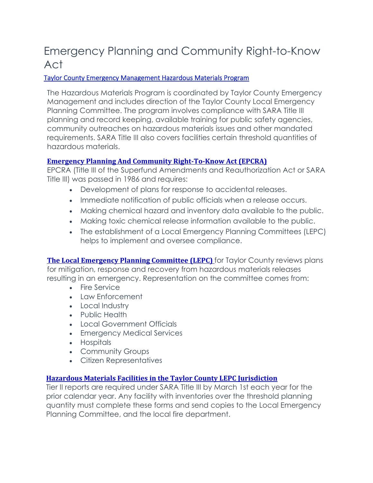# Emergency Planning and Community Right-to-Know Act

## Taylor County Emergency Management Hazardous Materials Program

The Hazardous Materials Program is coordinated by Taylor County Emergency Management and includes direction of the Taylor County Local Emergency Planning Committee. The program involves compliance with SARA Title III planning and record keeping, available training for public safety agencies, community outreaches on hazardous materials issues and other mandated requirements. SARA Title III also covers facilities certain threshold quantities of hazardous materials.

## **Emergency Planning And Community Right‐To‐Know Act (EPCRA)**

EPCRA (Title III of the Superfund Amendments and Reauthorization Act or SARA Title III) was passed in 1986 and requires:

- Development of plans for response to accidental releases.
- Immediate notification of public officials when a release occurs.
- Making chemical hazard and inventory data available to the public.
- Making toxic chemical release information available to the public.
- The establishment of a Local Emergency Planning Committees (LEPC) helps to implement and oversee compliance.

**The Local Emergency Planning Committee (LEPC)** for Taylor County reviews plans for mitigation, response and recovery from hazardous materials releases resulting in an emergency. Representation on the committee comes from:

- Fire Service
- Law Enforcement
- Local Industry
- Public Health
- Local Government Officials
- Emergency Medical Services
- Hospitals
- Community Groups
- Citizen Representatives

#### **Hazardous Materials Facilities in the Taylor County LEPC Jurisdiction**

Tier II reports are required under SARA Title III by March 1st each year for the prior calendar year. Any facility with inventories over the threshold planning quantity must complete these forms and send copies to the Local Emergency Planning Committee, and the local fire department.